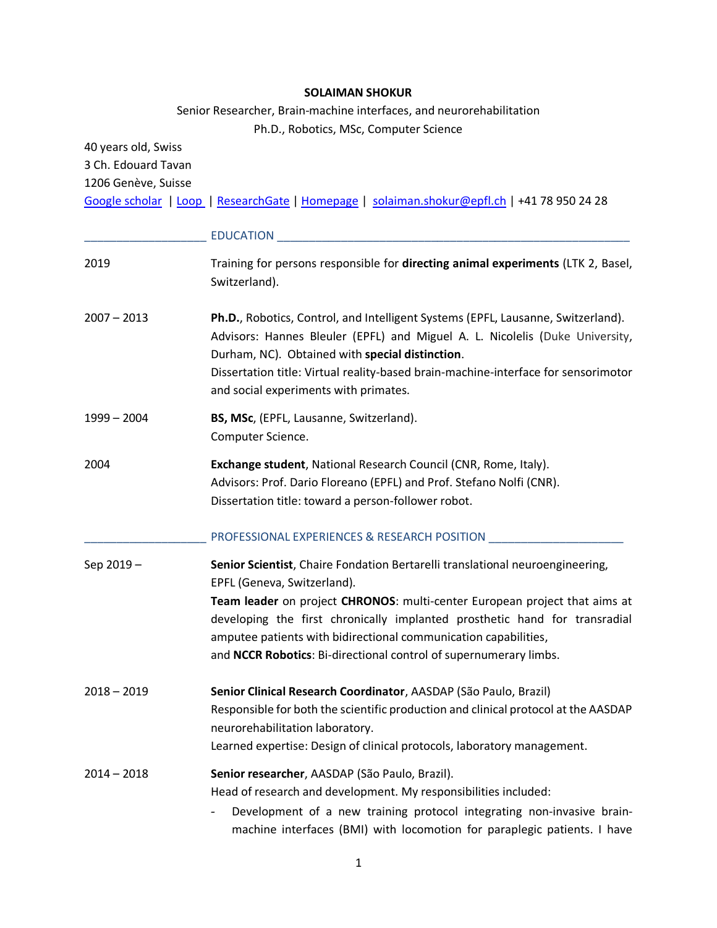#### **SOLAIMAN SHOKUR**

Senior Researcher, Brain-machine interfaces, and neurorehabilitation Ph.D., Robotics, MSc, Computer Science

40 years old, Swiss 3 Ch. Edouard Tavan

1206 Genève, Suisse

[Google scholar](https://scholar.google.ch/citations?user=1nGdXggAAAAJ&hl=fr) | [Loop |](https://loop.frontiersin.org/people/421814/overview) [ResearchGate](https://www.researchgate.net/profile/Solaiman_Shokur) [| Homepage](https://www.shokur.me/) | [solaiman.shokur@epfl.ch](mailto:solaiman.shokur@epfl.ch) | +41 78 950 24 28

|               | <b>EDUCATION</b>                                                                                                                                                                                                                                                                                                                                   |
|---------------|----------------------------------------------------------------------------------------------------------------------------------------------------------------------------------------------------------------------------------------------------------------------------------------------------------------------------------------------------|
| 2019          | Training for persons responsible for directing animal experiments (LTK 2, Basel,<br>Switzerland).                                                                                                                                                                                                                                                  |
| $2007 - 2013$ | Ph.D., Robotics, Control, and Intelligent Systems (EPFL, Lausanne, Switzerland).<br>Advisors: Hannes Bleuler (EPFL) and Miguel A. L. Nicolelis (Duke University,<br>Durham, NC). Obtained with special distinction.<br>Dissertation title: Virtual reality-based brain-machine-interface for sensorimotor<br>and social experiments with primates. |
| 1999 – 2004   | BS, MSc, (EPFL, Lausanne, Switzerland).<br>Computer Science.                                                                                                                                                                                                                                                                                       |
| 2004          | Exchange student, National Research Council (CNR, Rome, Italy).<br>Advisors: Prof. Dario Floreano (EPFL) and Prof. Stefano Nolfi (CNR).<br>Dissertation title: toward a person-follower robot.                                                                                                                                                     |
|               | PROFESSIONAL EXPERIENCES & RESEARCH POSITION                                                                                                                                                                                                                                                                                                       |
| Sep 2019-     | Senior Scientist, Chaire Fondation Bertarelli translational neuroengineering,<br>EPFL (Geneva, Switzerland).                                                                                                                                                                                                                                       |
|               | Team leader on project CHRONOS: multi-center European project that aims at<br>developing the first chronically implanted prosthetic hand for transradial<br>amputee patients with bidirectional communication capabilities,<br>and NCCR Robotics: Bi-directional control of supernumerary limbs.                                                   |
| $2018 - 2019$ | Senior Clinical Research Coordinator, AASDAP (São Paulo, Brazil)<br>Responsible for both the scientific production and clinical protocol at the AASDAP<br>neurorehabilitation laboratory.<br>Learned expertise: Design of clinical protocols, laboratory management.                                                                               |
| $2014 - 2018$ | Senior researcher, AASDAP (São Paulo, Brazil).<br>Head of research and development. My responsibilities included:<br>Development of a new training protocol integrating non-invasive brain-<br>machine interfaces (BMI) with locomotion for paraplegic patients. I have                                                                            |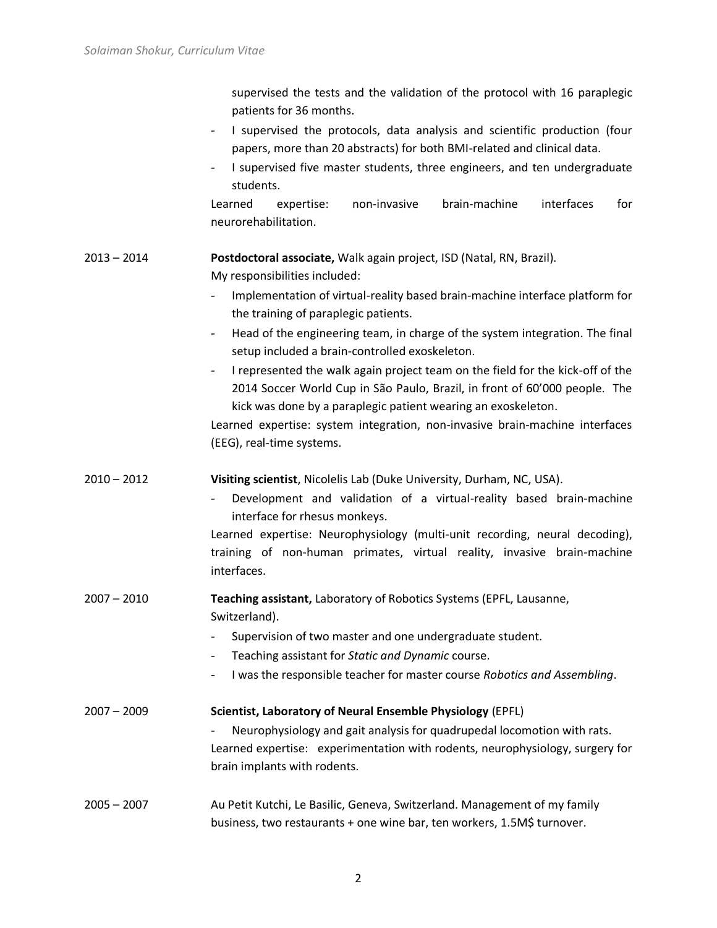supervised the tests and the validation of the protocol with 16 paraplegic patients for 36 months.

- I supervised the protocols, data analysis and scientific production (four papers, more than 20 abstracts) for both BMI-related and clinical data.
- I supervised five master students, three engineers, and ten undergraduate students.

Learned expertise: non-invasive brain-machine interfaces for neurorehabilitation.

# 2013 – 2014 **Postdoctoral associate,** Walk again project, ISD (Natal, RN, Brazil).

My responsibilities included:

- Implementation of virtual-reality based brain-machine interface platform for the training of paraplegic patients.
- Head of the engineering team, in charge of the system integration. The final setup included a brain-controlled exoskeleton.
- I represented the walk again project team on the field for the kick-off of the 2014 Soccer World Cup in São Paulo, Brazil, in front of 60'000 people. The kick was done by a paraplegic patient wearing an exoskeleton.

Learned expertise: system integration, non-invasive brain-machine interfaces (EEG), real-time systems.

- 2010 2012 **Visiting scientist**, Nicolelis Lab (Duke University, Durham, NC, USA).
	- Development and validation of a virtual-reality based brain-machine interface for rhesus monkeys.

Learned expertise: Neurophysiology (multi-unit recording, neural decoding), training of non-human primates, virtual reality, invasive brain-machine interfaces.

- 2007 2010 **Teaching assistant,** Laboratory of Robotics Systems (EPFL, Lausanne, Switzerland).
	- Supervision of two master and one undergraduate student.
	- Teaching assistant for *Static and Dynamic* course.
	- I was the responsible teacher for master course *Robotics and Assembling*.
- 2007 2009 **Scientist, Laboratory of Neural Ensemble Physiology** (EPFL) - Neurophysiology and gait analysis for quadrupedal locomotion with rats. Learned expertise: experimentation with rodents, neurophysiology, surgery for brain implants with rodents.
- 2005 2007 Au Petit Kutchi, Le Basilic, Geneva, Switzerland. Management of my family business, two restaurants + one wine bar, ten workers, 1.5M\$ turnover.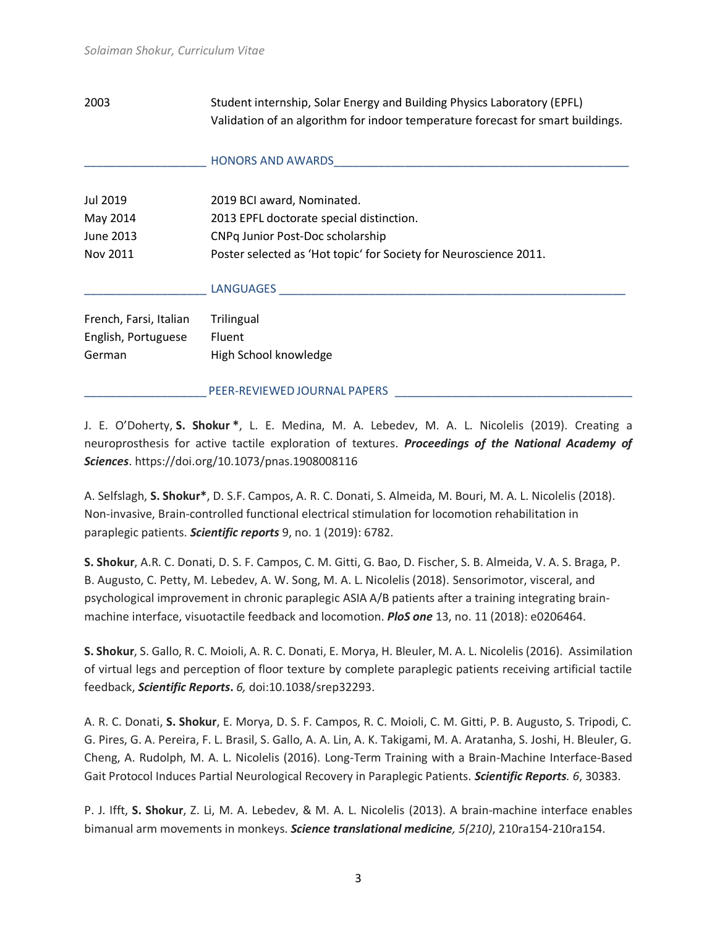2003 Student internship, Solar Energy and Building Physics Laboratory (EPFL) Validation of an algorithm for indoor temperature forecast for smart buildings.

|                        | <b>HONORS AND AWARDS</b>                                          |
|------------------------|-------------------------------------------------------------------|
| Jul 2019               | 2019 BCI award, Nominated.                                        |
| May 2014               | 2013 EPFL doctorate special distinction.                          |
| June 2013              | CNPq Junior Post-Doc scholarship                                  |
| Nov 2011               | Poster selected as 'Hot topic' for Society for Neuroscience 2011. |
|                        | <b>LANGUAGES</b>                                                  |
| French, Farsi, Italian | Trilingual                                                        |
| English, Portuguese    | Fluent                                                            |
| German                 | High School knowledge                                             |
|                        | PEER-REVIEWED JOURNAL PAPERS                                      |

J. E. O'Doherty, **S. Shokur \***, L. E. Medina, M. A. Lebedev, M. A. L. Nicolelis (2019). Creating a neuroprosthesis for active tactile exploration of textures. *Proceedings of the National Academy of Sciences*. https://doi.org/10.1073/pnas.1908008116

A. Selfslagh, **S. Shokur\***, D. S.F. Campos, A. R. C. Donati, S. Almeida, M. Bouri, M. A. L. Nicolelis (2018). Non-invasive, Brain-controlled functional electrical stimulation for locomotion rehabilitation in paraplegic patients. *Scientific reports* 9, no. 1 (2019): 6782.

**S. Shokur**, A.R. C. Donati, D. S. F. Campos, C. M. Gitti, G. Bao, D. Fischer, S. B. Almeida, V. A. S. Braga, P. B. Augusto, C. Petty, M. Lebedev, A. W. Song, M. A. L. Nicolelis (2018). Sensorimotor, visceral, and psychological improvement in chronic paraplegic ASIA A/B patients after a training integrating brainmachine interface, visuotactile feedback and locomotion. *PloS one* 13, no. 11 (2018): e0206464.

**S. Shokur**, S. Gallo, R. C. Moioli, A. R. C. Donati, E. Morya, H. Bleuler, M. A. L. Nicolelis (2016). Assimilation of virtual legs and perception of floor texture by complete paraplegic patients receiving artificial tactile feedback, *Scientific Reports***.** *6,* doi:10.1038/srep32293.

A. R. C. Donati, **S. Shokur**, E. Morya, D. S. F. Campos, R. C. Moioli, C. M. Gitti, P. B. Augusto, S. Tripodi, C. G. Pires, G. A. Pereira, F. L. Brasil, S. Gallo, A. A. Lin, A. K. Takigami, M. A. Aratanha, S. Joshi, H. Bleuler, G. Cheng, A. Rudolph, M. A. L. Nicolelis (2016). Long-Term Training with a Brain-Machine Interface-Based Gait Protocol Induces Partial Neurological Recovery in Paraplegic Patients. *Scientific Reports. 6*, 30383.

P. J. Ifft, **S. Shokur**, Z. Li, M. A. Lebedev, & M. A. L. Nicolelis (2013). A brain-machine interface enables bimanual arm movements in monkeys. *Science translational medicine, 5(210)*, 210ra154-210ra154.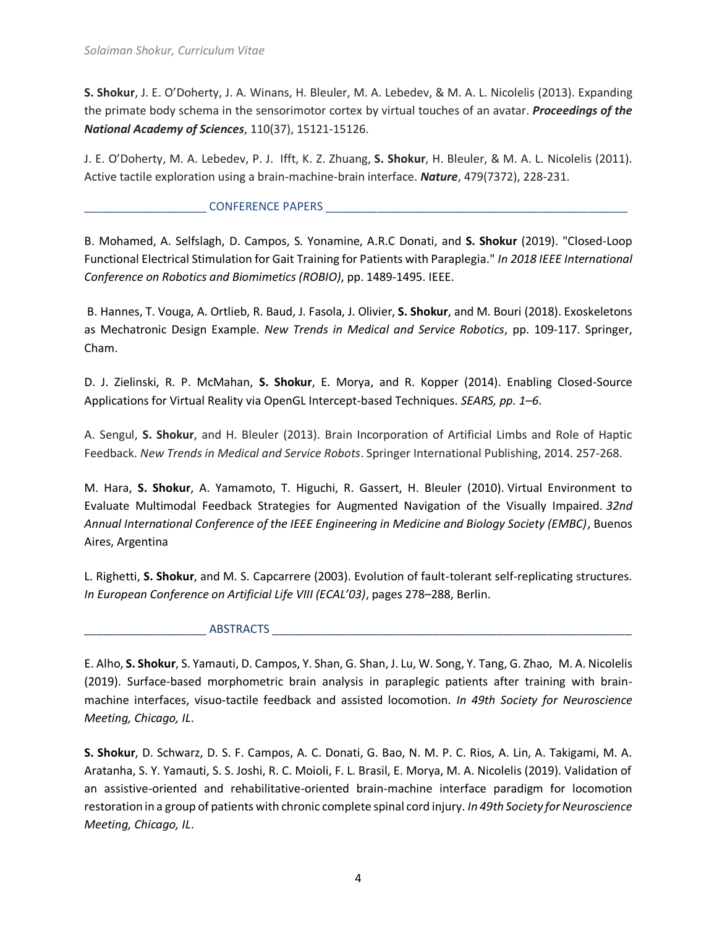**S. Shokur**, J. E. O'Doherty, J. A. Winans, H. Bleuler, M. A. Lebedev, & M. A. L. Nicolelis (2013). Expanding the primate body schema in the sensorimotor cortex by virtual touches of an avatar. *Proceedings of the National Academy of Sciences*, 110(37), 15121-15126.

J. E. O'Doherty, M. A. Lebedev, P. J. Ifft, K. Z. Zhuang, **S. Shokur**, H. Bleuler, & M. A. L. Nicolelis (2011). Active tactile exploration using a brain-machine-brain interface. *Nature*, 479(7372), 228-231.

#### \_\_\_\_\_\_\_\_\_\_\_\_\_\_\_\_\_\_\_ CONFERENCE PAPERS \_\_\_\_\_\_\_\_\_\_\_\_\_\_\_\_\_\_\_\_\_\_\_\_\_\_\_\_\_\_\_\_\_\_\_\_\_\_\_\_\_\_\_\_\_\_\_

B. Mohamed, A. Selfslagh, D. Campos, S. Yonamine, A.R.C Donati, and **S. Shokur** (2019). "Closed-Loop Functional Electrical Stimulation for Gait Training for Patients with Paraplegia." *In 2018 IEEE International Conference on Robotics and Biomimetics (ROBIO)*, pp. 1489-1495. IEEE.

B. Hannes, T. Vouga, A. Ortlieb, R. Baud, J. Fasola, J. Olivier, **S. Shokur**, and M. Bouri (2018). Exoskeletons as Mechatronic Design Example. *New Trends in Medical and Service Robotics*, pp. 109-117. Springer, Cham.

D. J. Zielinski, R. P. McMahan, **S. Shokur**, E. Morya, and R. Kopper (2014). Enabling Closed-Source Applications for Virtual Reality via OpenGL Intercept-based Techniques. *SEARS, pp. 1–6*.

A. Sengul, **S. Shokur**, and H. Bleuler (2013). Brain Incorporation of Artificial Limbs and Role of Haptic Feedback. *New Trends in Medical and Service Robots*. Springer International Publishing, 2014. 257-268.

M. Hara, **S. Shokur**, A. Yamamoto, T. Higuchi, R. Gassert, H. Bleuler (2010). Virtual Environment to Evaluate Multimodal Feedback Strategies for Augmented Navigation of the Visually Impaired. *32nd Annual International Conference of the IEEE Engineering in Medicine and Biology Society (EMBC)*, Buenos Aires, Argentina

L. Righetti, **S. Shokur**, and M. S. Capcarrere (2003). Evolution of fault-tolerant self-replicating structures. *In European Conference on Artificial Life VIII (ECAL'03)*, pages 278–288, Berlin.

### $\blacksquare$  ABSTRACTS  $\blacksquare$

E. Alho, **S. Shokur**, S. Yamauti, D. Campos, Y. Shan, G. Shan, J. Lu, W. Song, Y. Tang, G. Zhao, M. A. Nicolelis (2019). Surface-based morphometric brain analysis in paraplegic patients after training with brainmachine interfaces, visuo-tactile feedback and assisted locomotion. *In 49th Society for Neuroscience Meeting, Chicago, IL*.

**S. Shokur**, D. Schwarz, D. S. F. Campos, A. C. Donati, G. Bao, N. M. P. C. Rios, A. Lin, A. Takigami, M. A. Aratanha, S. Y. Yamauti, S. S. Joshi, R. C. Moioli, F. L. Brasil, E. Morya, M. A. Nicolelis (2019). Validation of an assistive-oriented and rehabilitative-oriented brain-machine interface paradigm for locomotion restoration in a group of patients with chronic complete spinal cord injury. *In 49th Society for Neuroscience Meeting, Chicago, IL*.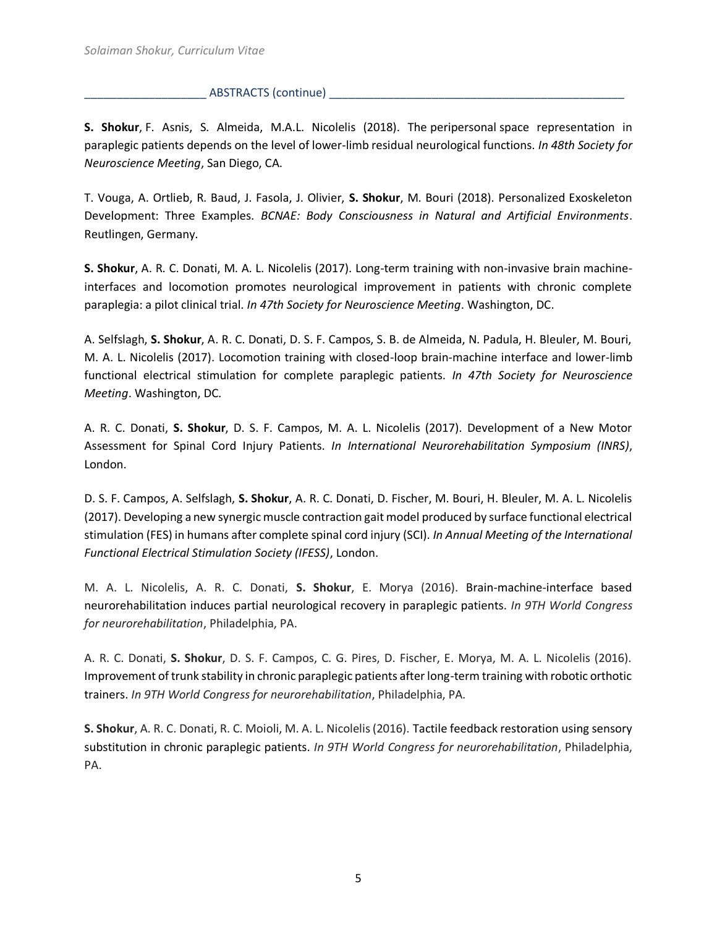#### \_\_\_\_\_\_\_\_\_\_\_\_\_\_\_\_\_\_\_ ABSTRACTS (continue) \_\_\_\_\_\_\_\_\_\_\_\_\_\_\_\_\_\_\_\_\_\_\_\_\_\_\_\_\_\_\_\_\_\_\_\_\_\_\_\_\_\_\_\_\_\_

**S. Shokur**, F. Asnis, S. Almeida, M.A.L. Nicolelis (2018). The peripersonal space representation in paraplegic patients depends on the level of lower-limb residual neurological functions. *In 48th Society for Neuroscience Meeting*, San Diego, CA.

T. Vouga, A. Ortlieb, R. Baud, J. Fasola, J. Olivier, **S. Shokur**, M. Bouri (2018). Personalized Exoskeleton Development: Three Examples. *BCNAE: Body Consciousness in Natural and Artificial Environments*. Reutlingen, Germany.

**S. Shokur**, A. R. C. Donati, M. A. L. Nicolelis (2017). Long-term training with non-invasive brain machineinterfaces and locomotion promotes neurological improvement in patients with chronic complete paraplegia: a pilot clinical trial. *In 47th Society for Neuroscience Meeting*. Washington, DC.

A. Selfslagh, **S. Shokur**, A. R. C. Donati, D. S. F. Campos, S. B. de Almeida, N. Padula, H. Bleuler, M. Bouri, M. A. L. Nicolelis (2017). Locomotion training with closed-loop brain-machine interface and lower-limb functional electrical stimulation for complete paraplegic patients. *In 47th Society for Neuroscience Meeting*. Washington, DC.

A. R. C. Donati, **S. Shokur**, D. S. F. Campos, M. A. L. Nicolelis (2017). Development of a New Motor Assessment for Spinal Cord Injury Patients. *In International Neurorehabilitation Symposium (INRS)*, London.

D. S. F. Campos, A. Selfslagh, **S. Shokur**, A. R. C. Donati, D. Fischer, M. Bouri, H. Bleuler, M. A. L. Nicolelis (2017). Developing a new synergic muscle contraction gait model produced by surface functional electrical stimulation (FES) in humans after complete spinal cord injury (SCI). *In Annual Meeting of the International Functional Electrical Stimulation Society (IFESS)*, London.

M. A. L. Nicolelis, A. R. C. Donati, **S. Shokur**, E. Morya (2016). Brain-machine-interface based neurorehabilitation induces partial neurological recovery in paraplegic patients. *In 9TH World Congress for neurorehabilitation*, Philadelphia, PA.

A. R. C. Donati, **S. Shokur**, D. S. F. Campos, C. G. Pires, D. Fischer, E. Morya, M. A. L. Nicolelis (2016). Improvement of trunk stability in chronic paraplegic patients after long-term training with robotic orthotic trainers. *In 9TH World Congress for neurorehabilitation*, Philadelphia, PA.

**S. Shokur**, A. R. C. Donati, R. C. Moioli, M. A. L. Nicolelis (2016). Tactile feedback restoration using sensory substitution in chronic paraplegic patients. *In 9TH World Congress for neurorehabilitation*, Philadelphia, PA.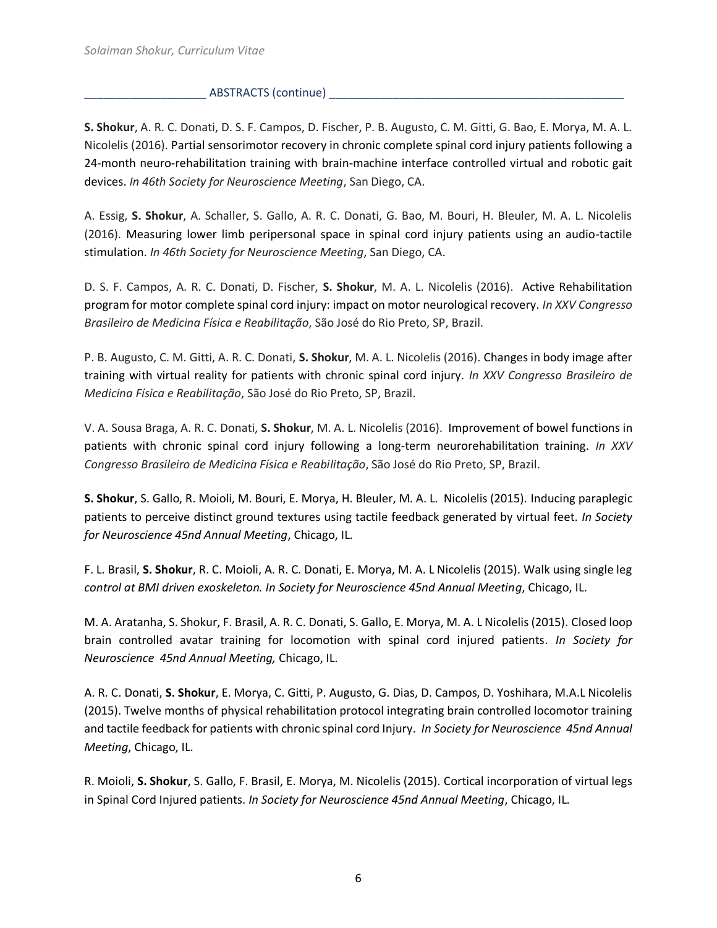### ABSTRACTS (continue)

**S. Shokur**, A. R. C. Donati, D. S. F. Campos, D. Fischer, P. B. Augusto, C. M. Gitti, G. Bao, E. Morya, M. A. L. Nicolelis (2016). Partial sensorimotor recovery in chronic complete spinal cord injury patients following a 24-month neuro-rehabilitation training with brain-machine interface controlled virtual and robotic gait devices. *In 46th Society for Neuroscience Meeting*, San Diego, CA.

A. Essig, **S. Shokur**, A. Schaller, S. Gallo, A. R. C. Donati, G. Bao, M. Bouri, H. Bleuler, M. A. L. Nicolelis (2016). Measuring lower limb peripersonal space in spinal cord injury patients using an audio-tactile stimulation. *In 46th Society for Neuroscience Meeting*, San Diego, CA.

D. S. F. Campos, A. R. C. Donati, D. Fischer, **S. Shokur**, M. A. L. Nicolelis (2016). Active Rehabilitation program for motor complete spinal cord injury: impact on motor neurological recovery. *In XXV Congresso Brasileiro de Medicina Física e Reabilitação*, São José do Rio Preto, SP, Brazil.

P. B. Augusto, C. M. Gitti, A. R. C. Donati, **S. Shokur**, M. A. L. Nicolelis (2016). Changes in body image after training with virtual reality for patients with chronic spinal cord injury. *In XXV Congresso Brasileiro de Medicina Física e Reabilitação*, São José do Rio Preto, SP, Brazil.

V. A. Sousa Braga, A. R. C. Donati, **S. Shokur**, M. A. L. Nicolelis (2016). Improvement of bowel functions in patients with chronic spinal cord injury following a long-term neurorehabilitation training. *In XXV Congresso Brasileiro de Medicina Física e Reabilitação*, São José do Rio Preto, SP, Brazil.

**S. Shokur**, S. Gallo, R. Moioli, M. Bouri, E. Morya, H. Bleuler, M. A. L. Nicolelis (2015). Inducing paraplegic patients to perceive distinct ground textures using tactile feedback generated by virtual feet. *In Society for Neuroscience 45nd Annual Meeting*, Chicago, IL.

F. L. Brasil, **S. Shokur**, R. C. Moioli, A. R. C. Donati, E. Morya, M. A. L Nicolelis (2015). Walk using single leg *control at BMI driven exoskeleton. In Society for Neuroscience 45nd Annual Meeting*, Chicago, IL.

M. A. Aratanha, S. Shokur, F. Brasil, A. R. C. Donati, S. Gallo, E. Morya, M. A. L Nicolelis (2015). Closed loop brain controlled avatar training for locomotion with spinal cord injured patients. *In Society for Neuroscience 45nd Annual Meeting,* Chicago, IL.

A. R. C. Donati, **S. Shokur**, E. Morya, C. Gitti, P. Augusto, G. Dias, D. Campos, D. Yoshihara, M.A.L Nicolelis (2015). Twelve months of physical rehabilitation protocol integrating brain controlled locomotor training and tactile feedback for patients with chronic spinal cord Injury. *In Society for Neuroscience 45nd Annual Meeting*, Chicago, IL.

R. Moioli, **S. Shokur**, S. Gallo, F. Brasil, E. Morya, M. Nicolelis (2015). Cortical incorporation of virtual legs in Spinal Cord Injured patients. *In Society for Neuroscience 45nd Annual Meeting*, Chicago, IL.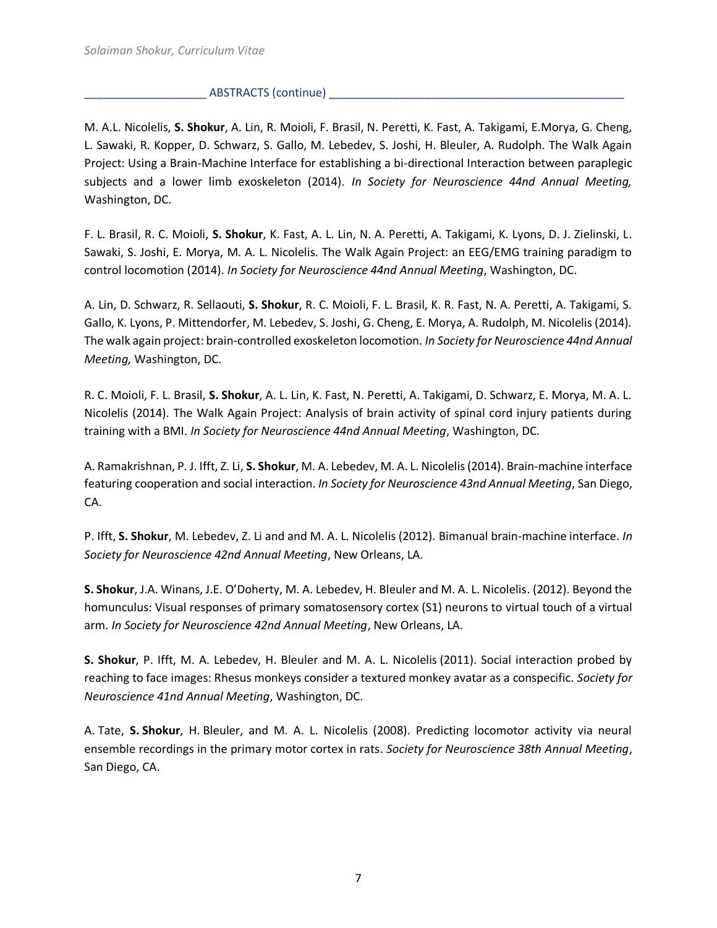#### ABSTRACTS (continue)

M. A.L. Nicolelis, **S. Shokur**, A. Lin, R. Moioli, F. Brasil, N. Peretti, K. Fast, A. Takigami, E.Morya, G. Cheng, L. Sawaki, R. Kopper, D. Schwarz, S. Gallo, M. Lebedev, S. Joshi, H. Bleuler, A. Rudolph. The Walk Again Project: Using a Brain-Machine Interface for establishing a bi-directional Interaction between paraplegic subjects and a lower limb exoskeleton (2014). *In Society for Neuroscience 44nd Annual Meeting,* Washington, DC.

F. L. Brasil, R. C. Moioli, **S. Shokur**, K. Fast, A. L. Lin, N. A. Peretti, A. Takigami, K. Lyons, D. J. Zielinski, L. Sawaki, S. Joshi, E. Morya, M. A. L. Nicolelis. The Walk Again Project: an EEG/EMG training paradigm to control locomotion (2014). *In Society for Neuroscience 44nd Annual Meeting*, Washington, DC.

A. Lin, D. Schwarz, R. Sellaouti, **S. Shokur**, R. C. Moioli, F. L. Brasil, K. R. Fast, N. A. Peretti, A. Takigami, S. Gallo, K. Lyons, P. Mittendorfer, M. Lebedev, S. Joshi, G. Cheng, E. Morya, A. Rudolph, M. Nicolelis (2014). The walk again project: brain-controlled exoskeleton locomotion. *In Society for Neuroscience 44nd Annual Meeting,* Washington, DC.

R. C. Moioli, F. L. Brasil, **S. Shokur**, A. L. Lin, K. Fast, N. Peretti, A. Takigami, D. Schwarz, E. Morya, M. A. L. Nicolelis (2014). The Walk Again Project: Analysis of brain activity of spinal cord injury patients during training with a BMI. *In Society for Neuroscience 44nd Annual Meeting*, Washington, DC.

A. Ramakrishnan, P. J. Ifft, Z. Li, **S. Shokur**, M. A. Lebedev, M. A. L. Nicolelis (2014). [Brain-machine interface](http://www.abstractsonline.com/Plan/ViewAbstract.aspx?sKey=37686423-d77d-4780-80bb-4109f84f84ff&cKey=dffcf6dc-6501-47f1-8e5e-aae370462589&mKey=8d2a5bec-4825-4cd6-9439-b42bb151d1cf) [featuring cooperation and social interaction.](http://www.abstractsonline.com/Plan/ViewAbstract.aspx?sKey=37686423-d77d-4780-80bb-4109f84f84ff&cKey=dffcf6dc-6501-47f1-8e5e-aae370462589&mKey=8d2a5bec-4825-4cd6-9439-b42bb151d1cf) *In Society for Neuroscience 43nd Annual Meeting*, San Diego, CA.

P. Ifft, **S. Shokur**, M. Lebedev, Z. Li and and M. A. L. Nicolelis (2012). Bimanual brain-machine interface. *In Society for Neuroscience 42nd Annual Meeting*, New Orleans, LA.

**S. Shokur**, J.A. Winans, J.E. O'Doherty, M. A. Lebedev, H. Bleuler and M. A. L. Nicolelis. (2012). Beyond the homunculus: Visual responses of primary somatosensory cortex (S1) neurons to virtual touch of a virtual arm. *In Society for Neuroscience 42nd Annual Meeting*, New Orleans, LA.

**S. Shokur**, P. Ifft, M. A. Lebedev, H. Bleuler and M. A. L. Nicolelis (2011). Social interaction probed by reaching to face images: Rhesus monkeys consider a textured monkey avatar as a conspecific. *Society for Neuroscience 41nd Annual Meeting*, Washington, DC.

A. Tate, **S. Shokur**, H. Bleuler, and M. A. L. Nicolelis (2008). Predicting locomotor activity via neural ensemble recordings in the primary motor cortex in rats. *Society for Neuroscience 38th Annual Meeting*, San Diego, CA.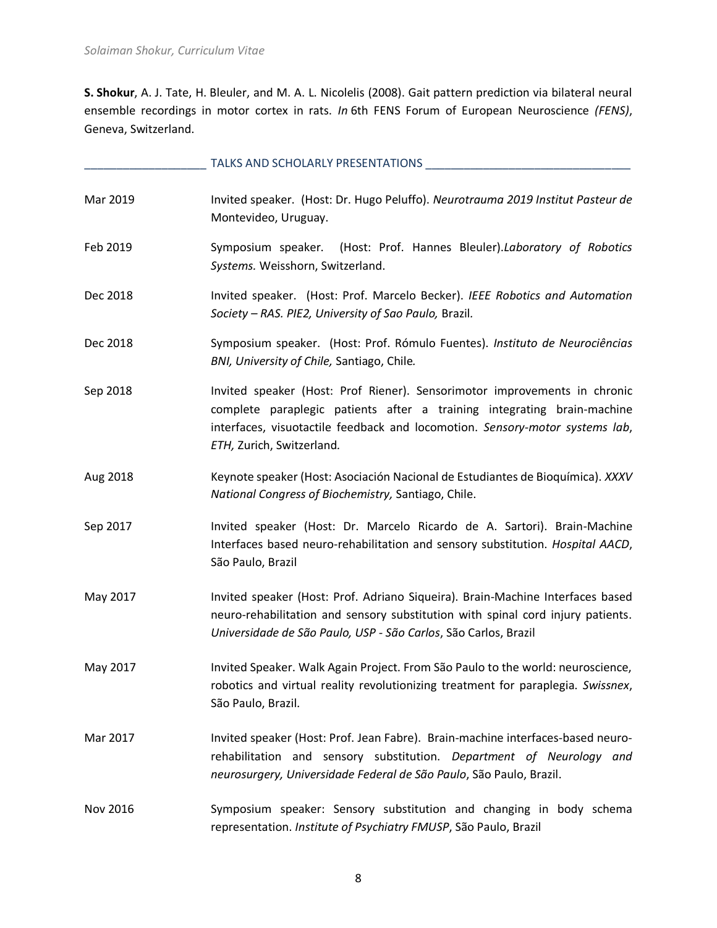**S. Shokur**, A. J. Tate, H. Bleuler, and M. A. L. Nicolelis (2008). Gait pattern prediction via bilateral neural ensemble recordings in motor cortex in rats. *In* 6th FENS Forum of European Neuroscience *(FENS)*, Geneva, Switzerland.

|          | TALKS AND SCHOLARLY PRESENTATIONS                                                                                                                                                                                                                                 |
|----------|-------------------------------------------------------------------------------------------------------------------------------------------------------------------------------------------------------------------------------------------------------------------|
| Mar 2019 | Invited speaker. (Host: Dr. Hugo Peluffo). Neurotrauma 2019 Institut Pasteur de<br>Montevideo, Uruguay.                                                                                                                                                           |
| Feb 2019 | (Host: Prof. Hannes Bleuler).Laboratory of Robotics<br>Symposium speaker.<br>Systems. Weisshorn, Switzerland.                                                                                                                                                     |
| Dec 2018 | Invited speaker. (Host: Prof. Marcelo Becker). IEEE Robotics and Automation<br>Society - RAS. PIE2, University of Sao Paulo, Brazil.                                                                                                                              |
| Dec 2018 | Symposium speaker. (Host: Prof. Rómulo Fuentes). Instituto de Neurociências<br>BNI, University of Chile, Santiago, Chile.                                                                                                                                         |
| Sep 2018 | Invited speaker (Host: Prof Riener). Sensorimotor improvements in chronic<br>complete paraplegic patients after a training integrating brain-machine<br>interfaces, visuotactile feedback and locomotion. Sensory-motor systems lab,<br>ETH, Zurich, Switzerland. |
| Aug 2018 | Keynote speaker (Host: Asociación Nacional de Estudiantes de Bioquímica). XXXV<br>National Congress of Biochemistry, Santiago, Chile.                                                                                                                             |
| Sep 2017 | Invited speaker (Host: Dr. Marcelo Ricardo de A. Sartori). Brain-Machine<br>Interfaces based neuro-rehabilitation and sensory substitution. Hospital AACD,<br>São Paulo, Brazil                                                                                   |
| May 2017 | Invited speaker (Host: Prof. Adriano Siqueira). Brain-Machine Interfaces based<br>neuro-rehabilitation and sensory substitution with spinal cord injury patients.<br>Universidade de São Paulo, USP - São Carlos, São Carlos, Brazil                              |
| May 2017 | Invited Speaker. Walk Again Project. From São Paulo to the world: neuroscience,<br>robotics and virtual reality revolutionizing treatment for paraplegia. Swissnex,<br>São Paulo, Brazil.                                                                         |
| Mar 2017 | Invited speaker (Host: Prof. Jean Fabre). Brain-machine interfaces-based neuro-<br>rehabilitation and sensory substitution. Department of Neurology and<br>neurosurgery, Universidade Federal de São Paulo, São Paulo, Brazil.                                    |
| Nov 2016 | Symposium speaker: Sensory substitution and changing in body schema<br>representation. Institute of Psychiatry FMUSP, São Paulo, Brazil                                                                                                                           |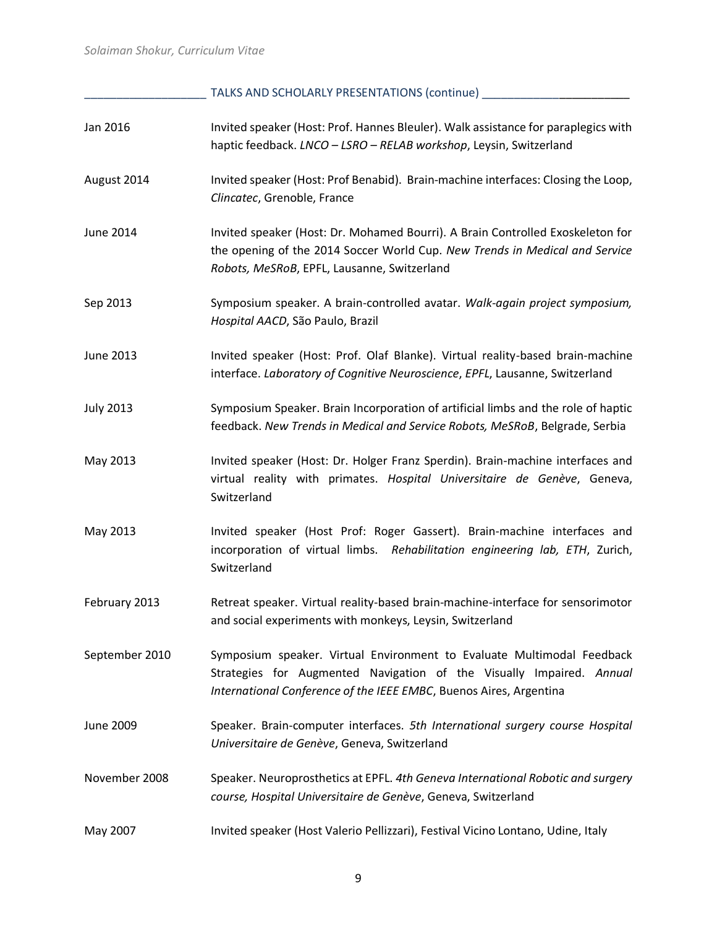\_\_\_\_\_\_\_\_\_\_\_\_\_\_\_\_\_\_\_ TALKS AND SCHOLARLY PRESENTATIONS (continue) \_\_\_\_\_\_\_\_\_\_\_\_\_\_\_\_\_\_\_\_\_\_\_

| Jan 2016         | Invited speaker (Host: Prof. Hannes Bleuler). Walk assistance for paraplegics with<br>haptic feedback. LNCO - LSRO - RELAB workshop, Leysin, Switzerland                                                             |
|------------------|----------------------------------------------------------------------------------------------------------------------------------------------------------------------------------------------------------------------|
| August 2014      | Invited speaker (Host: Prof Benabid). Brain-machine interfaces: Closing the Loop,<br>Clincatec, Grenoble, France                                                                                                     |
| June 2014        | Invited speaker (Host: Dr. Mohamed Bourri). A Brain Controlled Exoskeleton for<br>the opening of the 2014 Soccer World Cup. New Trends in Medical and Service<br>Robots, MeSRoB, EPFL, Lausanne, Switzerland         |
| Sep 2013         | Symposium speaker. A brain-controlled avatar. Walk-again project symposium,<br>Hospital AACD, São Paulo, Brazil                                                                                                      |
| <b>June 2013</b> | Invited speaker (Host: Prof. Olaf Blanke). Virtual reality-based brain-machine<br>interface. Laboratory of Cognitive Neuroscience, EPFL, Lausanne, Switzerland                                                       |
| <b>July 2013</b> | Symposium Speaker. Brain Incorporation of artificial limbs and the role of haptic<br>feedback. New Trends in Medical and Service Robots, MeSRoB, Belgrade, Serbia                                                    |
| May 2013         | Invited speaker (Host: Dr. Holger Franz Sperdin). Brain-machine interfaces and<br>virtual reality with primates. Hospital Universitaire de Genève, Geneva,<br>Switzerland                                            |
| May 2013         | Invited speaker (Host Prof: Roger Gassert). Brain-machine interfaces and<br>incorporation of virtual limbs. Rehabilitation engineering lab, ETH, Zurich,<br>Switzerland                                              |
| February 2013    | Retreat speaker. Virtual reality-based brain-machine-interface for sensorimotor<br>and social experiments with monkeys, Leysin, Switzerland                                                                          |
| September 2010   | Symposium speaker. Virtual Environment to Evaluate Multimodal Feedback<br>Strategies for Augmented Navigation of the Visually Impaired. Annual<br>International Conference of the IEEE EMBC, Buenos Aires, Argentina |
| June 2009        | Speaker. Brain-computer interfaces. 5th International surgery course Hospital<br>Universitaire de Genève, Geneva, Switzerland                                                                                        |
| November 2008    | Speaker. Neuroprosthetics at EPFL. 4th Geneva International Robotic and surgery<br>course, Hospital Universitaire de Genève, Geneva, Switzerland                                                                     |
| May 2007         | Invited speaker (Host Valerio Pellizzari), Festival Vicino Lontano, Udine, Italy                                                                                                                                     |